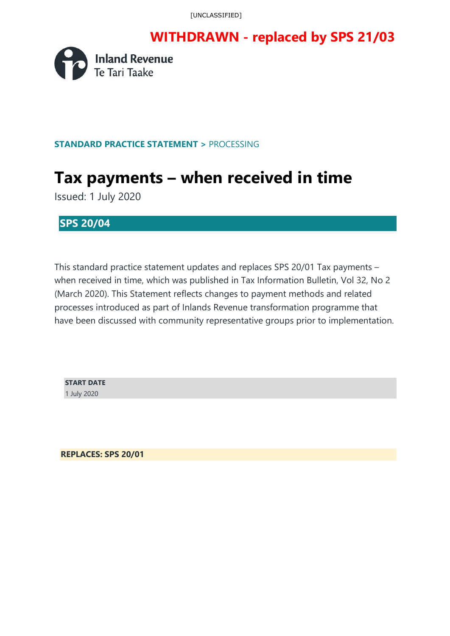[UNCLASSIFIED]

### **WITHDRAWN - replaced by SPS 21/03**



#### **STANDARD PRACTICE STATEMENT >** PROCESSING

# **Tax payments – when received in time**

Issued: 1 July 2020

#### **SPS 20/04**

This standard practice statement updates and replaces SPS 20/01 Tax payments – when received in time, which was published in Tax Information Bulletin, Vol 32, No 2 (March 2020). This Statement reflects changes to payment methods and related processes introduced as part of Inlands Revenue transformation programme that have been discussed with community representative groups prior to implementation.

**START DATE**  1 July 2020

**REPLACES: SPS 20/01**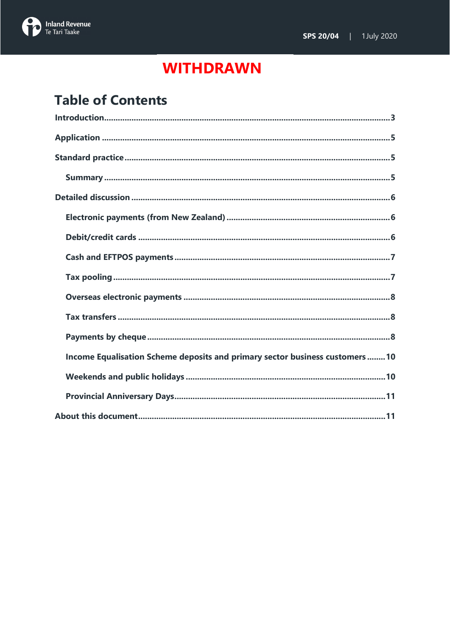

# **Table of Contents**

| Income Equalisation Scheme deposits and primary sector business customers10 |
|-----------------------------------------------------------------------------|
|                                                                             |
|                                                                             |
|                                                                             |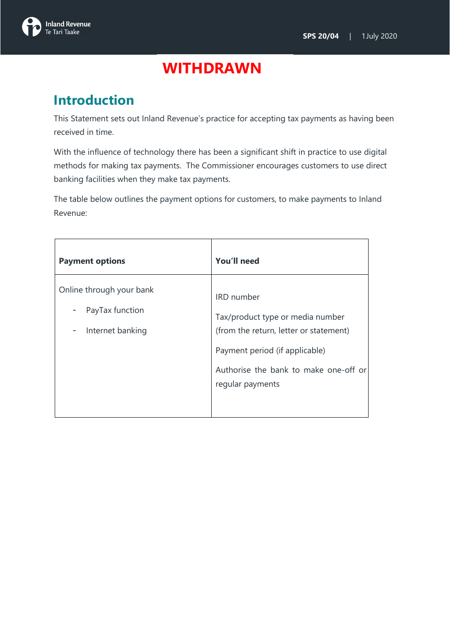

### <span id="page-2-0"></span>**Introduction**

This Statement sets out Inland Revenue's practice for accepting tax payments as having been received in time.

With the influence of technology there has been a significant shift in practice to use digital methods for making tax payments. The Commissioner encourages customers to use direct banking facilities when they make tax payments.

The table below outlines the payment options for customers, to make payments to Inland Revenue:

| <b>Payment options</b>                                                                           | You'll need                                                                                                                                                                                    |
|--------------------------------------------------------------------------------------------------|------------------------------------------------------------------------------------------------------------------------------------------------------------------------------------------------|
| Online through your bank<br>PayTax function<br>٠<br>Internet banking<br>$\overline{\phantom{a}}$ | <b>IRD</b> number<br>Tax/product type or media number<br>(from the return, letter or statement)<br>Payment period (if applicable)<br>Authorise the bank to make one-off or<br>regular payments |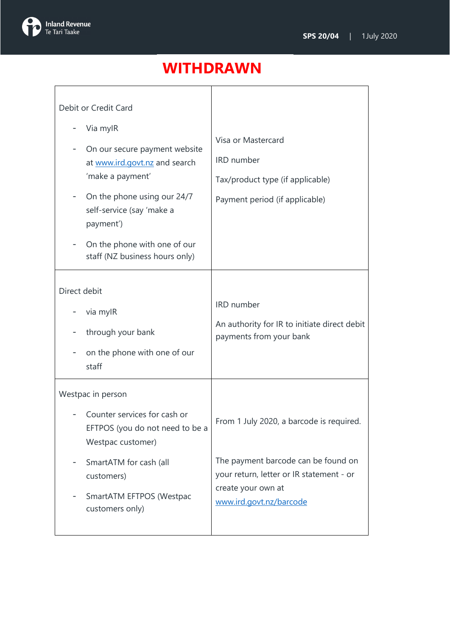

| Debit or Credit Card                                                                                                                                                                                                                      |                                                                                                                                                                              |
|-------------------------------------------------------------------------------------------------------------------------------------------------------------------------------------------------------------------------------------------|------------------------------------------------------------------------------------------------------------------------------------------------------------------------------|
| Via mylR<br>On our secure payment website<br>at www.ird.govt.nz and search<br>'make a payment'<br>On the phone using our 24/7<br>self-service (say 'make a<br>payment')<br>On the phone with one of our<br>staff (NZ business hours only) | Visa or Mastercard<br>IRD number<br>Tax/product type (if applicable)<br>Payment period (if applicable)                                                                       |
| Direct debit<br>via mylR<br>through your bank<br>on the phone with one of our<br>staff                                                                                                                                                    | <b>IRD</b> number<br>An authority for IR to initiate direct debit<br>payments from your bank                                                                                 |
| Westpac in person<br>Counter services for cash or<br>EFTPOS (you do not need to be a<br>Westpac customer)<br>SmartATM for cash (all<br>customers)<br>SmartATM EFTPOS (Westpac<br>customers only)                                          | From 1 July 2020, a barcode is required.<br>The payment barcode can be found on<br>your return, letter or IR statement - or<br>create your own at<br>www.ird.govt.nz/barcode |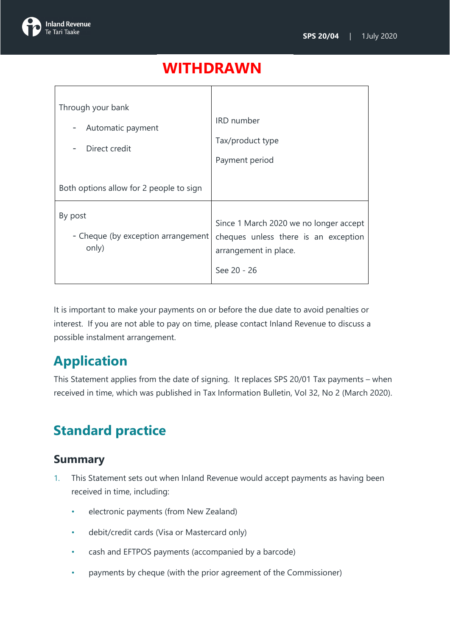

| Through your bank<br>Automatic payment<br>۰<br>Direct credit | <b>IRD</b> number<br>Tax/product type<br>Payment period                                                                |
|--------------------------------------------------------------|------------------------------------------------------------------------------------------------------------------------|
| Both options allow for 2 people to sign                      |                                                                                                                        |
| By post<br>- Cheque (by exception arrangement<br>only)       | Since 1 March 2020 we no longer accept<br>cheques unless there is an exception<br>arrangement in place.<br>See 20 - 26 |

It is important to make your payments on or before the due date to avoid penalties or interest. If you are not able to pay on time, please contact Inland Revenue to discuss a possible instalment arrangement.

## <span id="page-4-0"></span>**Application**

This Statement applies from the date of signing. It replaces SPS 20/01 Tax payments – when received in time, which was published in Tax Information Bulletin, Vol 32, No 2 (March 2020).

## <span id="page-4-1"></span>**Standard practice**

#### <span id="page-4-2"></span>**Summary**

- 1. This Statement sets out when Inland Revenue would accept payments as having been received in time, including:
	- electronic payments (from New Zealand)
	- debit/credit cards (Visa or Mastercard only)
	- cash and EFTPOS payments (accompanied by a barcode)
	- payments by cheque (with the prior agreement of the Commissioner)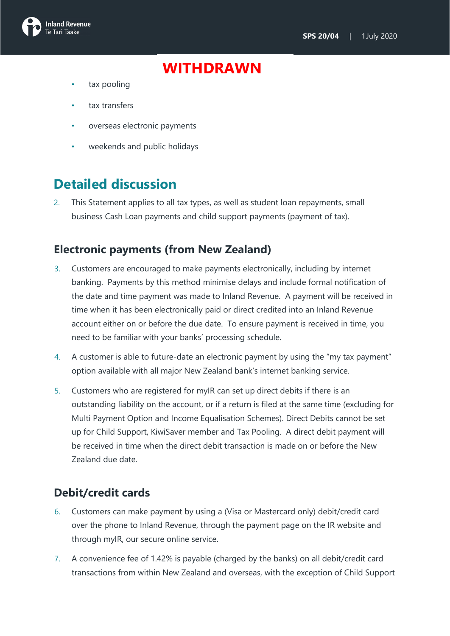

- tax pooling
- tax transfers
- overseas electronic payments
- weekends and public holidays

### <span id="page-5-0"></span>**Detailed discussion**

2. This Statement applies to all tax types, as well as student loan repayments, small business Cash Loan payments and child support payments (payment of tax).

#### <span id="page-5-1"></span>**Electronic payments (from New Zealand)**

- 3. Customers are encouraged to make payments electronically, including by internet banking. Payments by this method minimise delays and include formal notification of the date and time payment was made to Inland Revenue. A payment will be received in time when it has been electronically paid or direct credited into an Inland Revenue account either on or before the due date. To ensure payment is received in time, you need to be familiar with your banks' processing schedule.
- 4. A customer is able to future-date an electronic payment by using the "my tax payment" option available with all major New Zealand bank's internet banking service.
- 5. Customers who are registered for myIR can set up direct debits if there is an outstanding liability on the account, or if a return is filed at the same time (excluding for Multi Payment Option and Income Equalisation Schemes). Direct Debits cannot be set up for Child Support, KiwiSaver member and Tax Pooling. A direct debit payment will be received in time when the direct debit transaction is made on or before the New Zealand due date.

#### <span id="page-5-2"></span>**Debit/credit cards**

- 6. Customers can make payment by using a (Visa or Mastercard only) debit/credit card over the phone to Inland Revenue, through the payment page on the IR website and through myIR, our secure online service.
- 7. A convenience fee of 1.42% is payable (charged by the banks) on all debit/credit card transactions from within New Zealand and overseas, with the exception of Child Support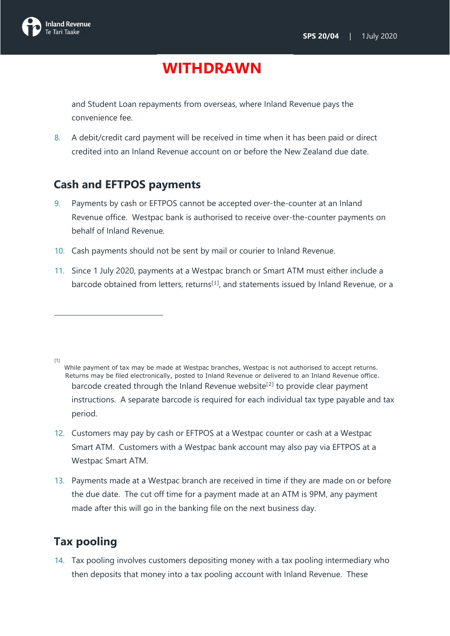

and Student Loan repayments from overseas, where Inland Revenue pays the convenience fee.

8. A debit/credit card payment will be received in time when it has been paid or direct credited into an Inland Revenue account on or before the New Zealand due date.

#### <span id="page-6-0"></span>**Cash and EFTPOS payments**

- 9. Payments by cash or EFTPOS cannot be accepted over-the-counter at an Inland Revenue office. Westpac bank is authorised to receive over-the-counter payments on behalf of Inland Revenue.
- 10. Cash payments should not be sent by mail or courier to Inland Revenue.
- 11. Since 1 July 2020, payments at a Westpac branch or Smart ATM must either include a barcode obtained from letters, returns<sup>[1]</sup>, and statements issued by Inland Revenue, or a

 $[1]$ 

- 12. Customers may pay by cash or EFTPOS at a Westpac counter or cash at a Westpac Smart ATM. Customers with a Westpac bank account may also pay via EFTPOS at a Westpac Smart ATM.
- 13. Payments made at a Westpac branch are received in time if they are made on or before the due date. The cut off time for a payment made at an ATM is 9PM, any payment made after this will go in the banking file on the next business day.

### <span id="page-6-1"></span>**Tax pooling**

14. Tax pooling involves customers depositing money with a tax pooling intermediary who then deposits that money into a tax pooling account with Inland Revenue. These

While payment of tax may be made at Westpac branches, Westpac is not authorised to accept returns. Returns may be filed electronically, posted to Inland Revenue or delivered to an Inland Revenue office. barcode created through the Inland Revenue website<sup>[2]</sup> to provide clear payment instructions. A separate barcode is required for each individual tax type payable and tax period.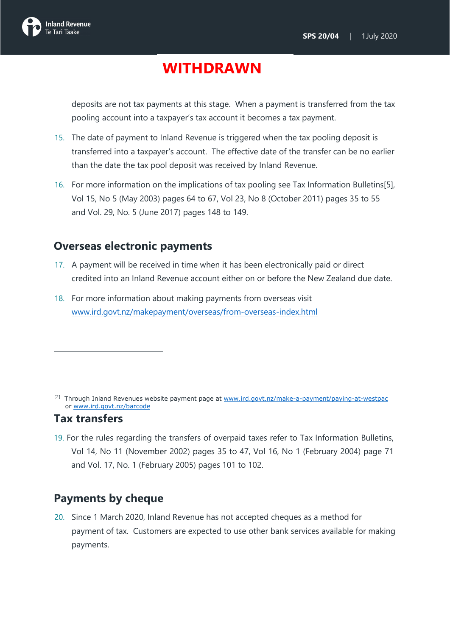

deposits are not tax payments at this stage. When a payment is transferred from the tax pooling account into a taxpayer's tax account it becomes a tax payment.

- 15. The date of payment to Inland Revenue is triggered when the tax pooling deposit is transferred into a taxpayer's account. The effective date of the transfer can be no earlier than the date the tax pool deposit was received by Inland Revenue.
- 16. For more information on the implications of tax pooling see Tax Information Bulletins[5], Vol 15, No 5 (May 2003) pages 64 to 67, Vol 23, No 8 (October 2011) pages 35 to 55 and Vol. 29, No. 5 (June 2017) pages 148 to 149.

#### <span id="page-7-0"></span>**Overseas electronic payments**

- 17. A payment will be received in time when it has been electronically paid or direct credited into an Inland Revenue account either on or before the New Zealand due date.
- 18. For more information about making payments from overseas visit [www.ird.govt.nz/makepayment/overseas/from-overseas-index.html](http://www.ird.govt.nz/makepayment/overseas/from-overseas-index.html)

#### <span id="page-7-1"></span>**Tax transfers**

19. For the rules regarding the transfers of overpaid taxes refer to Tax Information Bulletins, Vol 14, No 11 (November 2002) pages 35 to 47, Vol 16, No 1 (February 2004) page 71 and Vol. 17, No. 1 (February 2005) pages 101 to 102.

### <span id="page-7-2"></span>**Payments by cheque**

20. Since 1 March 2020, Inland Revenue has not accepted cheques as a method for payment of tax. Customers are expected to use other bank services available for making payments.

<sup>&</sup>lt;sup>[2]</sup> Through Inland Revenues website payment page at [www.ird.govt.nz/make-a-payment/paying-at-westpac](http://www.ird.govt.nz/make-a-payment/paying-at-westpac) or [www.ird.govt.nz/barcode](http://www.ird.govt.nz/barcode)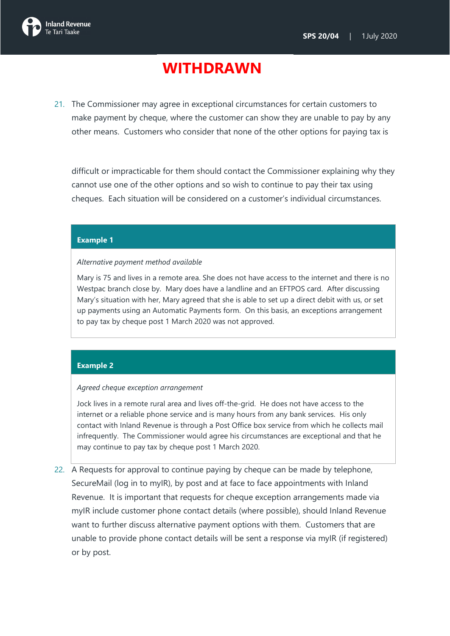

21. The Commissioner may agree in exceptional circumstances for certain customers to make payment by cheque, where the customer can show they are unable to pay by any other means. Customers who consider that none of the other options for paying tax is

difficult or impracticable for them should contact the Commissioner explaining why they cannot use one of the other options and so wish to continue to pay their tax using cheques. Each situation will be considered on a customer's individual circumstances.

#### **Example 1**

#### *Alternative payment method available*

Mary is 75 and lives in a remote area. She does not have access to the internet and there is no Westpac branch close by. Mary does have a landline and an EFTPOS card. After discussing Mary's situation with her, Mary agreed that she is able to set up a direct debit with us, or set up payments using an Automatic Payments form. On this basis, an exceptions arrangement to pay tax by cheque post 1 March 2020 was not approved.

#### **Example 2**

#### *Agreed cheque exception arrangement*

Jock lives in a remote rural area and lives off-the-grid. He does not have access to the internet or a reliable phone service and is many hours from any bank services. His only contact with Inland Revenue is through a Post Office box service from which he collects mail infrequently. The Commissioner would agree his circumstances are exceptional and that he may continue to pay tax by cheque post 1 March 2020.

22. A Requests for approval to continue paying by cheque can be made by telephone, SecureMail (log in to myIR), by post and at face to face appointments with Inland Revenue. It is important that requests for cheque exception arrangements made via myIR include customer phone contact details (where possible), should Inland Revenue want to further discuss alternative payment options with them. Customers that are unable to provide phone contact details will be sent a response via myIR (if registered) or by post.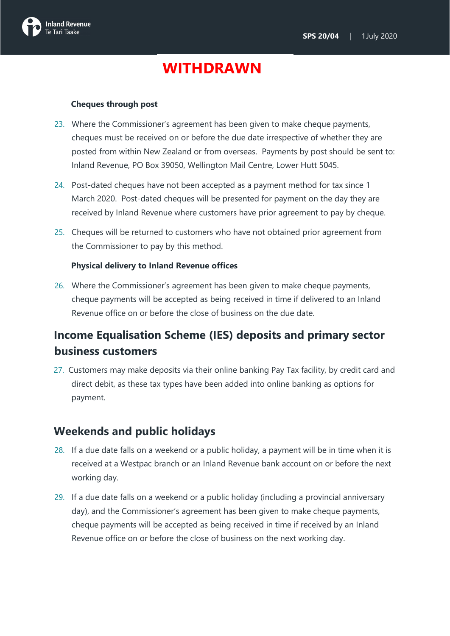

#### **Cheques through post**

- 23. Where the Commissioner's agreement has been given to make cheque payments, cheques must be received on or before the due date irrespective of whether they are posted from within New Zealand or from overseas. Payments by post should be sent to: Inland Revenue, PO Box 39050, Wellington Mail Centre, Lower Hutt 5045.
- 24. Post-dated cheques have not been accepted as a payment method for tax since 1 March 2020. Post-dated cheques will be presented for payment on the day they are received by Inland Revenue where customers have prior agreement to pay by cheque.
- 25. Cheques will be returned to customers who have not obtained prior agreement from the Commissioner to pay by this method.

#### **Physical delivery to Inland Revenue offices**

26. Where the Commissioner's agreement has been given to make cheque payments, cheque payments will be accepted as being received in time if delivered to an Inland Revenue office on or before the close of business on the due date.

### <span id="page-9-0"></span>**Income Equalisation Scheme (IES) deposits and primary sector business customers**

27. Customers may make deposits via their online banking Pay Tax facility, by credit card and direct debit, as these tax types have been added into online banking as options for payment.

#### <span id="page-9-1"></span>**Weekends and public holidays**

- 28. If a due date falls on a weekend or a public holiday, a payment will be in time when it is received at a Westpac branch or an Inland Revenue bank account on or before the next working day.
- 29. If a due date falls on a weekend or a public holiday (including a provincial anniversary day), and the Commissioner's agreement has been given to make cheque payments, cheque payments will be accepted as being received in time if received by an Inland Revenue office on or before the close of business on the next working day.